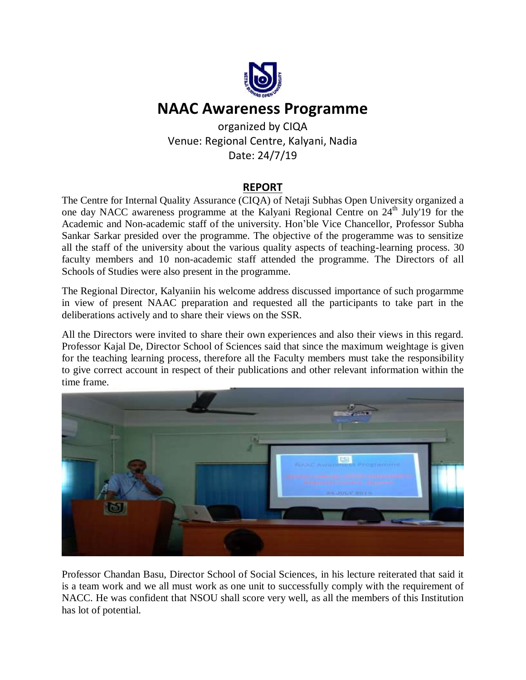

## **NAAC Awareness Programme**

organized by CIQA Venue: Regional Centre, Kalyani, Nadia Date: 24/7/19

## **REPORT**

The Centre for Internal Quality Assurance (CIQA) of Netaji Subhas Open University organized a one day NACC awareness programme at the Kalyani Regional Centre on 24<sup>th</sup> July'19 for the Academic and Non-academic staff of the university. Hon'ble Vice Chancellor, Professor Subha Sankar Sarkar presided over the programme. The objective of the progeramme was to sensitize all the staff of the university about the various quality aspects of teaching-learning process. 30 faculty members and 10 non-academic staff attended the programme. The Directors of all Schools of Studies were also present in the programme.

The Regional Director, Kalyaniin his welcome address discussed importance of such progarmme in view of present NAAC preparation and requested all the participants to take part in the deliberations actively and to share their views on the SSR.

All the Directors were invited to share their own experiences and also their views in this regard. Professor Kajal De, Director School of Sciences said that since the maximum weightage is given for the teaching learning process, therefore all the Faculty members must take the responsibility to give correct account in respect of their publications and other relevant information within the time frame.



Professor Chandan Basu, Director School of Social Sciences, in his lecture reiterated that said it is a team work and we all must work as one unit to successfully comply with the requirement of NACC. He was confident that NSOU shall score very well, as all the members of this Institution has lot of potential.